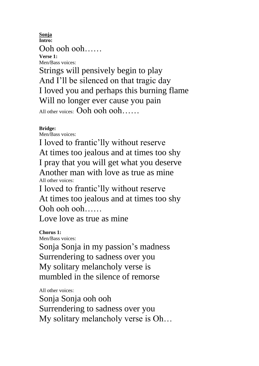**Sonja Intro:** Ooh ooh ooh…… **Verse 1:** Men/Bass voices:

Strings will pensively begin to play And I'll be silenced on that tragic day I loved you and perhaps this burning flame Will no longer ever cause you pain All other voices: Ooh ooh ooh......

## **Bridge:**

Men/Bass voices:

I loved to frantic'lly without reserve At times too jealous and at times too shy I pray that you will get what you deserve Another man with love as true as mine All other voices:

I loved to frantic'lly without reserve At times too jealous and at times too shy Ooh ooh ooh……

Love love as true as mine

**Chorus 1:** Men/Bass voices:

Sonja Sonja in my passion's madness Surrendering to sadness over you My solitary melancholy verse is mumbled in the silence of remorse

All other voices:

Sonja Sonja ooh ooh Surrendering to sadness over you My solitary melancholy verse is Oh…